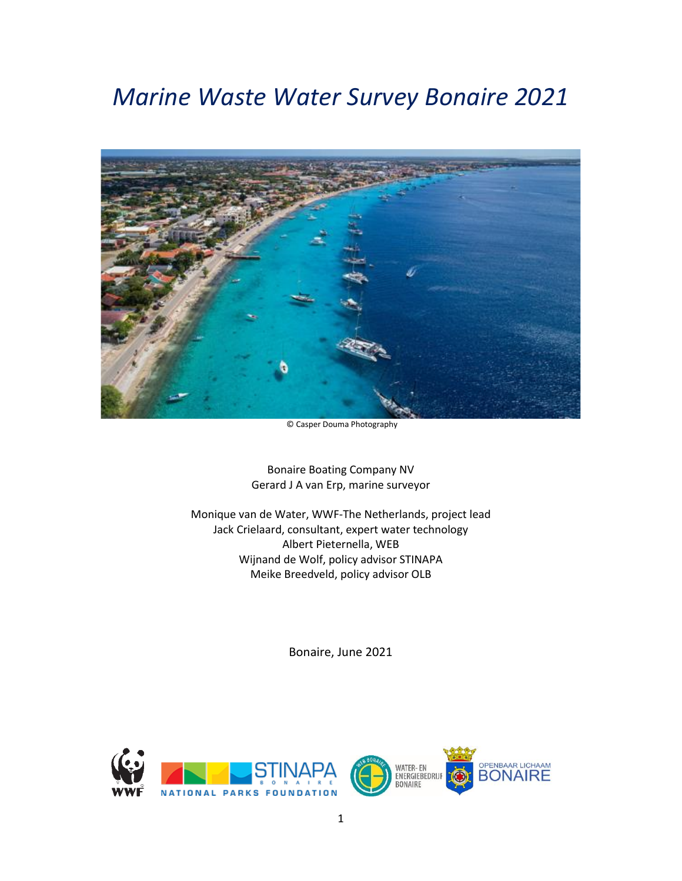# *Marine Waste Water Survey Bonaire 2021*



© Casper Douma Photography

Bonaire Boating Company NV Gerard J A van Erp, marine surveyor

Monique van de Water, WWF-The Netherlands, project lead Jack Crielaard, consultant, expert water technology Albert Pieternella, WEB Wijnand de Wolf, policy advisor STINAPA Meike Breedveld, policy advisor OLB

Bonaire, June 2021

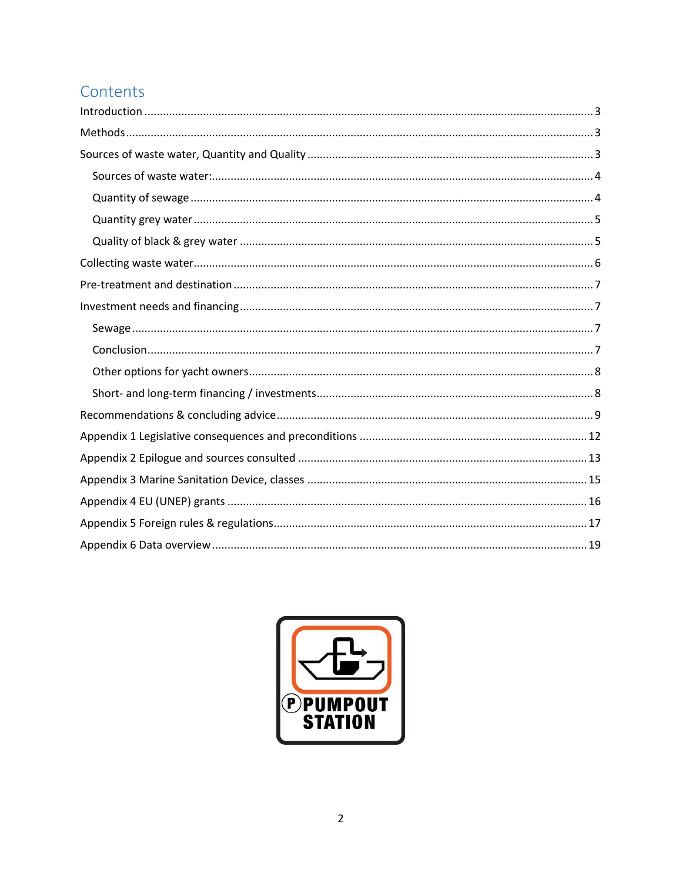# Contents

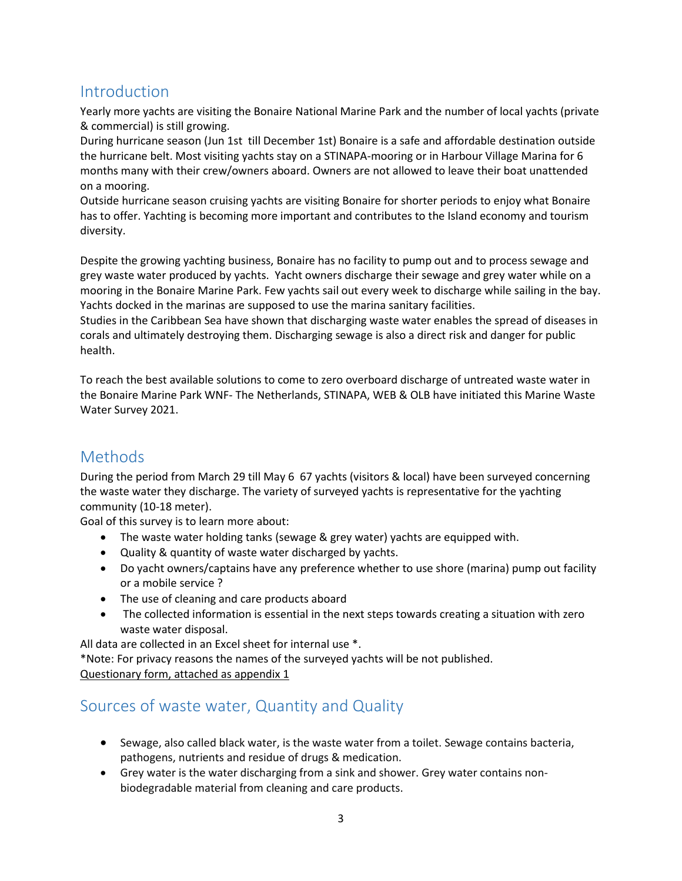## <span id="page-2-0"></span>Introduction

Yearly more yachts are visiting the Bonaire National Marine Park and the number of local yachts (private & commercial) is still growing.

During hurricane season (Jun 1st till December 1st) Bonaire is a safe and affordable destination outside the hurricane belt. Most visiting yachts stay on a STINAPA-mooring or in Harbour Village Marina for 6 months many with their crew/owners aboard. Owners are not allowed to leave their boat unattended on a mooring.

Outside hurricane season cruising yachts are visiting Bonaire for shorter periods to enjoy what Bonaire has to offer. Yachting is becoming more important and contributes to the Island economy and tourism diversity.

Despite the growing yachting business, Bonaire has no facility to pump out and to process sewage and grey waste water produced by yachts. Yacht owners discharge their sewage and grey water while on a mooring in the Bonaire Marine Park. Few yachts sail out every week to discharge while sailing in the bay. Yachts docked in the marinas are supposed to use the marina sanitary facilities.

Studies in the Caribbean Sea have shown that discharging waste water enables the spread of diseases in corals and ultimately destroying them. Discharging sewage is also a direct risk and danger for public health.

To reach the best available solutions to come to zero overboard discharge of untreated waste water in the Bonaire Marine Park WNF- The Netherlands, STINAPA, WEB & OLB have initiated this Marine Waste Water Survey 2021.

# <span id="page-2-1"></span>Methods

During the period from March 29 till May 6 67 yachts (visitors & local) have been surveyed concerning the waste water they discharge. The variety of surveyed yachts is representative for the yachting community (10-18 meter).

Goal of this survey is to learn more about:

- The waste water holding tanks (sewage & grey water) yachts are equipped with.
- Quality & quantity of waste water discharged by yachts.
- Do yacht owners/captains have any preference whether to use shore (marina) pump out facility or a mobile service ?
- The use of cleaning and care products aboard
- The collected information is essential in the next steps towards creating a situation with zero waste water disposal.

All data are collected in an Excel sheet for internal use \*.

\*Note: For privacy reasons the names of the surveyed yachts will be not published. Questionary form, attached as appendix 1

## <span id="page-2-2"></span>Sources of waste water, Quantity and Quality

- Sewage, also called black water, is the waste water from a toilet. Sewage contains bacteria, pathogens, nutrients and residue of drugs & medication.
- Grey water is the water discharging from a sink and shower. Grey water contains nonbiodegradable material from cleaning and care products.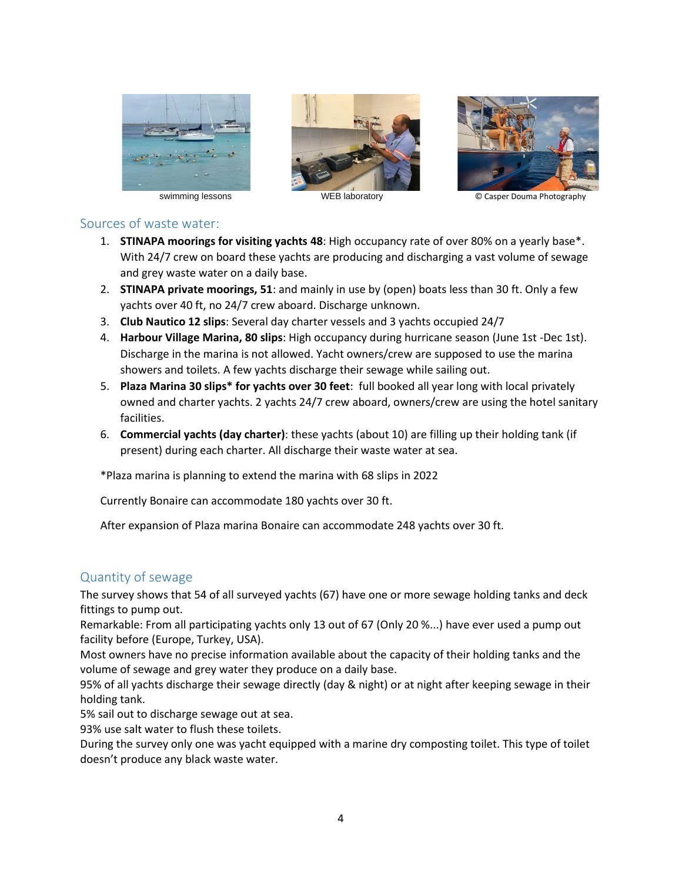





swimming lessons **WEB** laboratory **WEB WEB** is a set of  $\overline{\mathbb{C}}$  Casper Douma Photography

### <span id="page-3-0"></span>Sources of waste water:

- 1. **STINAPA moorings for visiting yachts 48**: High occupancy rate of over 80% on a yearly base\*. With 24/7 crew on board these yachts are producing and discharging a vast volume of sewage and grey waste water on a daily base.
- 2. **STINAPA private moorings, 51**: and mainly in use by (open) boats less than 30 ft. Only a few yachts over 40 ft, no 24/7 crew aboard. Discharge unknown.
- 3. **Club Nautico 12 slips**: Several day charter vessels and 3 yachts occupied 24/7
- 4. **Harbour Village Marina, 80 slips**: High occupancy during hurricane season (June 1st -Dec 1st). Discharge in the marina is not allowed. Yacht owners/crew are supposed to use the marina showers and toilets. A few yachts discharge their sewage while sailing out.
- 5. **Plaza Marina 30 slips\* for yachts over 30 feet**: full booked all year long with local privately owned and charter yachts. 2 yachts 24/7 crew aboard, owners/crew are using the hotel sanitary facilities.
- 6. **Commercial yachts (day charter)**: these yachts (about 10) are filling up their holding tank (if present) during each charter. All discharge their waste water at sea.

\*Plaza marina is planning to extend the marina with 68 slips in 2022

Currently Bonaire can accommodate 180 yachts over 30 ft.

After expansion of Plaza marina Bonaire can accommodate 248 yachts over 30 ft.

### <span id="page-3-1"></span>Quantity of sewage

The survey shows that 54 of all surveyed yachts (67) have one or more sewage holding tanks and deck fittings to pump out.

Remarkable: From all participating yachts only 13 out of 67 (Only 20 %...) have ever used a pump out facility before (Europe, Turkey, USA).

Most owners have no precise information available about the capacity of their holding tanks and the volume of sewage and grey water they produce on a daily base.

95% of all yachts discharge their sewage directly (day & night) or at night after keeping sewage in their holding tank.

5% sail out to discharge sewage out at sea.

93% use salt water to flush these toilets.

During the survey only one was yacht equipped with a marine dry composting toilet. This type of toilet doesn't produce any black waste water.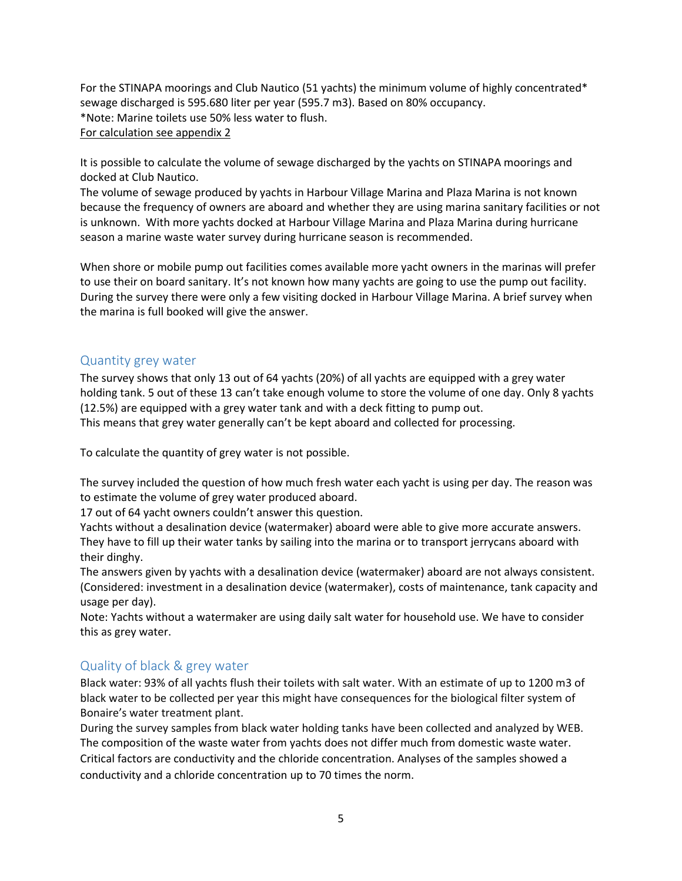For the STINAPA moorings and Club Nautico (51 yachts) the minimum volume of highly concentrated\* sewage discharged is 595.680 liter per year (595.7 m3). Based on 80% occupancy. \*Note: Marine toilets use 50% less water to flush. For calculation see appendix 2

It is possible to calculate the volume of sewage discharged by the yachts on STINAPA moorings and docked at Club Nautico.

The volume of sewage produced by yachts in Harbour Village Marina and Plaza Marina is not known because the frequency of owners are aboard and whether they are using marina sanitary facilities or not is unknown. With more yachts docked at Harbour Village Marina and Plaza Marina during hurricane season a marine waste water survey during hurricane season is recommended.

When shore or mobile pump out facilities comes available more yacht owners in the marinas will prefer to use their on board sanitary. It's not known how many yachts are going to use the pump out facility. During the survey there were only a few visiting docked in Harbour Village Marina. A brief survey when the marina is full booked will give the answer.

### <span id="page-4-0"></span>Quantity grey water

The survey shows that only 13 out of 64 yachts (20%) of all yachts are equipped with a grey water holding tank. 5 out of these 13 can't take enough volume to store the volume of one day. Only 8 yachts (12.5%) are equipped with a grey water tank and with a deck fitting to pump out. This means that grey water generally can't be kept aboard and collected for processing.

To calculate the quantity of grey water is not possible.

The survey included the question of how much fresh water each yacht is using per day. The reason was to estimate the volume of grey water produced aboard.

17 out of 64 yacht owners couldn't answer this question.

Yachts without a desalination device (watermaker) aboard were able to give more accurate answers. They have to fill up their water tanks by sailing into the marina or to transport jerrycans aboard with their dinghy.

The answers given by yachts with a desalination device (watermaker) aboard are not always consistent. (Considered: investment in a desalination device (watermaker), costs of maintenance, tank capacity and usage per day).

Note: Yachts without a watermaker are using daily salt water for household use. We have to consider this as grey water.

### <span id="page-4-1"></span>Quality of black & grey water

Black water: 93% of all yachts flush their toilets with salt water. With an estimate of up to 1200 m3 of black water to be collected per year this might have consequences for the biological filter system of Bonaire's water treatment plant.

During the survey samples from black water holding tanks have been collected and analyzed by WEB. The composition of the waste water from yachts does not differ much from domestic waste water. Critical factors are conductivity and the chloride concentration. Analyses of the samples showed a conductivity and a chloride concentration up to 70 times the norm.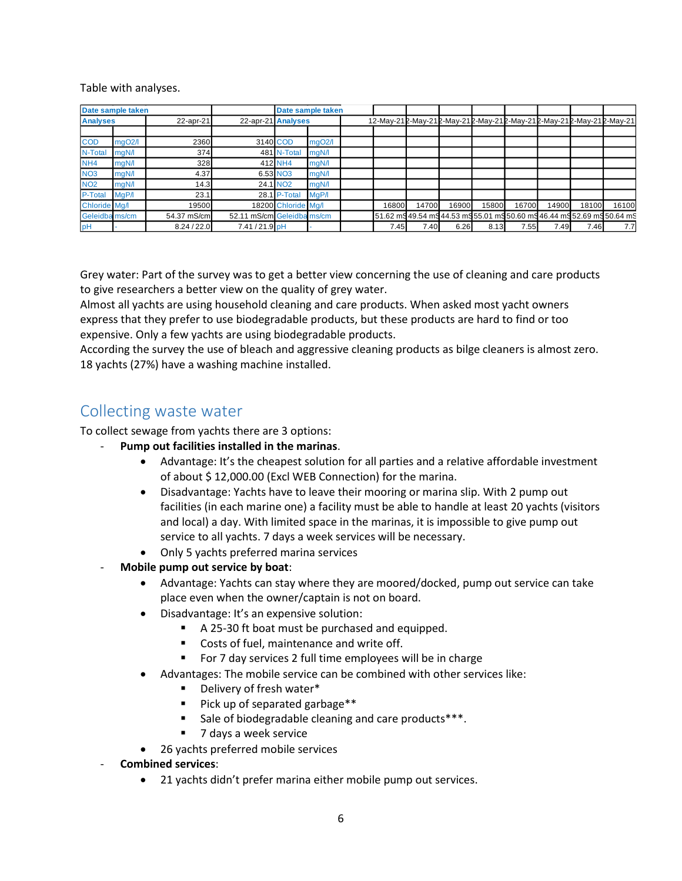Table with analyses.

| Date sample taken |        |             |                            |                      | Date sample taken   |       |       |                                                                   |       |       |       |       |                                                                         |
|-------------------|--------|-------------|----------------------------|----------------------|---------------------|-------|-------|-------------------------------------------------------------------|-------|-------|-------|-------|-------------------------------------------------------------------------|
| <b>Analyses</b>   |        | 22-apr-21   | 22-apr-21 Analyses         |                      |                     |       |       | 12-May-212-May-212-May-212-May-212-May-212-May-212-May-212-May-21 |       |       |       |       |                                                                         |
|                   |        |             |                            |                      |                     |       |       |                                                                   |       |       |       |       |                                                                         |
| <b>COD</b>        | mgO2/l | 2360        |                            | 3140 COD             | mgO <sub>2</sub> /l |       |       |                                                                   |       |       |       |       |                                                                         |
| N-Total           | mgN/l  | 374         |                            | 481 N-Total          | mgN/l               |       |       |                                                                   |       |       |       |       |                                                                         |
| NH <sub>4</sub>   | mgN/l  | 328         |                            | 412 NH4              | mgN/l               |       |       |                                                                   |       |       |       |       |                                                                         |
| <b>NO3</b>        | mgN/l  | 4.37        |                            | 6.53 NO <sub>3</sub> | mgN/l               |       |       |                                                                   |       |       |       |       |                                                                         |
| <b>NO2</b>        | mgN/l  | 14.3        |                            | 24.1 NO <sub>2</sub> | mgN/l               |       |       |                                                                   |       |       |       |       |                                                                         |
| P-Total           | MgP/I  | 23.1        |                            | 28.1 P-Total         | MqP/I               |       |       |                                                                   |       |       |       |       |                                                                         |
| Chloride Mg/I     |        | 19500       |                            | 18200 Chloride Mg/I  |                     | 16800 | 14700 | 16900                                                             | 15800 | 16700 | 14900 | 18100 | 16100                                                                   |
| Geleidba ms/cm    |        | 54.37 mS/cm | 52.11 mS/cm Geleidba ms/cm |                      |                     |       |       |                                                                   |       |       |       |       | 51.62 mg 49.54 mg 44.53 mg 55.01 mg 50.60 mg 46.44 mg 52.69 mg 50.64 mg |
| pH                |        | 8.24 / 22.0 | 7.41/21.9 pH               |                      |                     | 7.45  | 7.40  | 6.26                                                              | 8.13  | 7.55  | 7.49  | 7.46  | 7.7                                                                     |

Grey water: Part of the survey was to get a better view concerning the use of cleaning and care products to give researchers a better view on the quality of grey water.

Almost all yachts are using household cleaning and care products. When asked most yacht owners express that they prefer to use biodegradable products, but these products are hard to find or too expensive. Only a few yachts are using biodegradable products.

According the survey the use of bleach and aggressive cleaning products as bilge cleaners is almost zero. 18 yachts (27%) have a washing machine installed.

## <span id="page-5-0"></span>Collecting waste water

To collect sewage from yachts there are 3 options:

- **Pump out facilities installed in the marinas**.
	- Advantage: It's the cheapest solution for all parties and a relative affordable investment of about \$ 12,000.00 (Excl WEB Connection) for the marina.
	- Disadvantage: Yachts have to leave their mooring or marina slip. With 2 pump out facilities (in each marine one) a facility must be able to handle at least 20 yachts (visitors and local) a day. With limited space in the marinas, it is impossible to give pump out service to all yachts. 7 days a week services will be necessary.
	- Only 5 yachts preferred marina services
- **Mobile pump out service by boat**:
	- Advantage: Yachts can stay where they are moored/docked, pump out service can take place even when the owner/captain is not on board.
	- Disadvantage: It's an expensive solution:
		- A 25-30 ft boat must be purchased and equipped.
		- Costs of fuel, maintenance and write off.
		- For 7 day services 2 full time employees will be in charge
	- Advantages: The mobile service can be combined with other services like:
		- Delivery of fresh water\*
		- Pick up of separated garbage\*\*
		- Sale of biodegradable cleaning and care products<sup>\*\*\*</sup>.
		- 7 days a week service
	- 26 yachts preferred mobile services
- **Combined services**:
	- 21 yachts didn't prefer marina either mobile pump out services.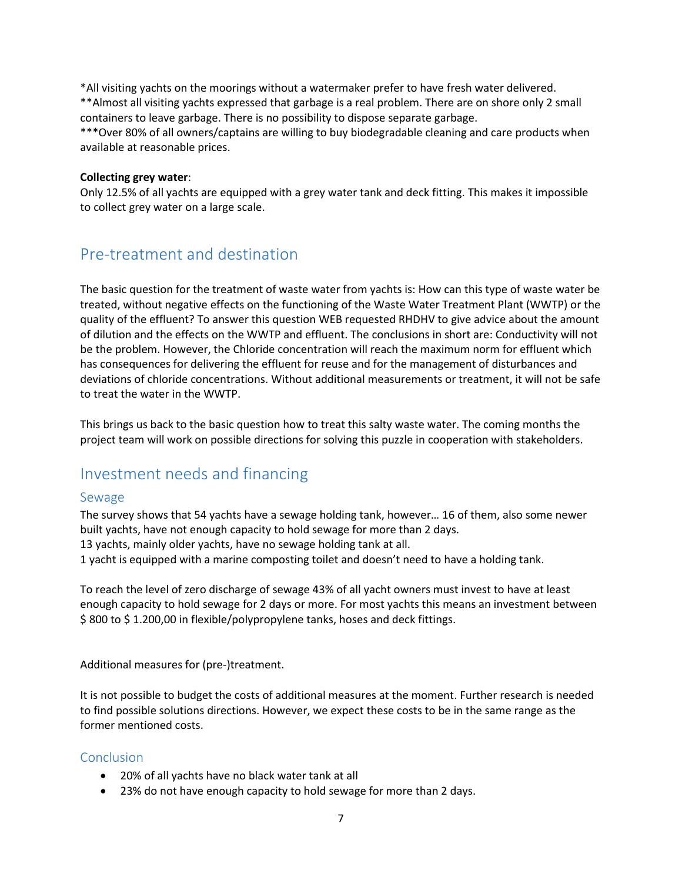\*All visiting yachts on the moorings without a watermaker prefer to have fresh water delivered. \*\*Almost all visiting yachts expressed that garbage is a real problem. There are on shore only 2 small containers to leave garbage. There is no possibility to dispose separate garbage.

\*\*\*Over 80% of all owners/captains are willing to buy biodegradable cleaning and care products when available at reasonable prices.

#### **Collecting grey water**:

Only 12.5% of all yachts are equipped with a grey water tank and deck fitting. This makes it impossible to collect grey water on a large scale.

### <span id="page-6-0"></span>Pre-treatment and destination

The basic question for the treatment of waste water from yachts is: How can this type of waste water be treated, without negative effects on the functioning of the Waste Water Treatment Plant (WWTP) or the quality of the effluent? To answer this question WEB requested RHDHV to give advice about the amount of dilution and the effects on the WWTP and effluent. The conclusions in short are: Conductivity will not be the problem. However, the Chloride concentration will reach the maximum norm for effluent which has consequences for delivering the effluent for reuse and for the management of disturbances and deviations of chloride concentrations. Without additional measurements or treatment, it will not be safe to treat the water in the WWTP.

This brings us back to the basic question how to treat this salty waste water. The coming months the project team will work on possible directions for solving this puzzle in cooperation with stakeholders.

### <span id="page-6-1"></span>Investment needs and financing

### <span id="page-6-2"></span>Sewage

The survey shows that 54 yachts have a sewage holding tank, however… 16 of them, also some newer built yachts, have not enough capacity to hold sewage for more than 2 days. 13 yachts, mainly older yachts, have no sewage holding tank at all. 1 yacht is equipped with a marine composting toilet and doesn't need to have a holding tank.

To reach the level of zero discharge of sewage 43% of all yacht owners must invest to have at least enough capacity to hold sewage for 2 days or more. For most yachts this means an investment between \$ 800 to \$ 1.200,00 in flexible/polypropylene tanks, hoses and deck fittings.

Additional measures for (pre-)treatment.

It is not possible to budget the costs of additional measures at the moment. Further research is needed to find possible solutions directions. However, we expect these costs to be in the same range as the former mentioned costs.

### <span id="page-6-3"></span>Conclusion

- 20% of all yachts have no black water tank at all
- 23% do not have enough capacity to hold sewage for more than 2 days.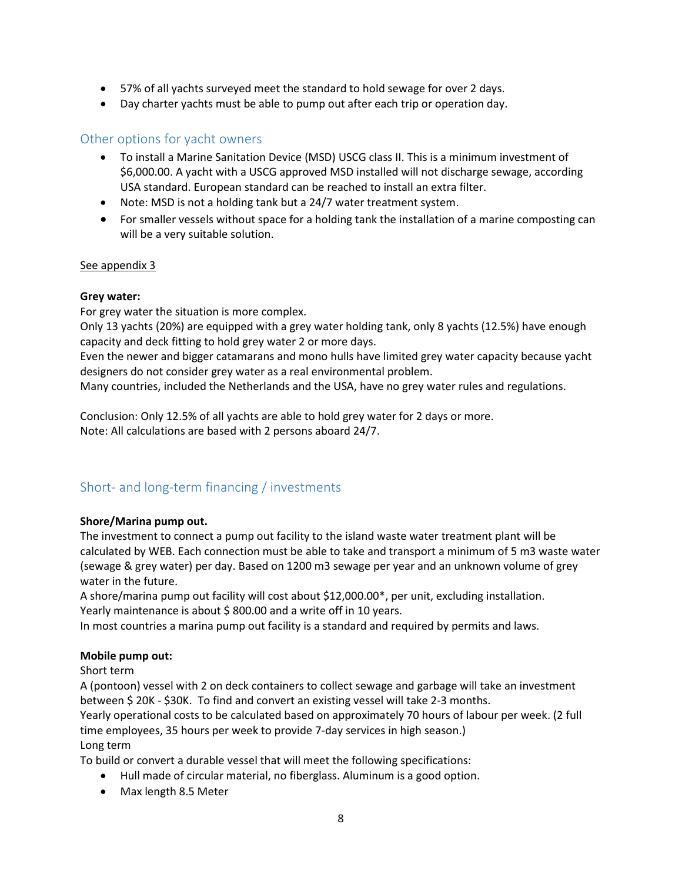- 57% of all yachts surveyed meet the standard to hold sewage for over 2 days.
- Day charter yachts must be able to pump out after each trip or operation day.

### <span id="page-7-0"></span>Other options for yacht owners

- To install a Marine Sanitation Device (MSD) USCG class II. This is a minimum investment of \$6,000.00. A yacht with a USCG approved MSD installed will not discharge sewage, according USA standard. European standard can be reached to install an extra filter.
- Note: MSD is not a holding tank but a 24/7 water treatment system.
- For smaller vessels without space for a holding tank the installation of a marine composting can will be a very suitable solution.

### See appendix 3

### **Grey water:**

For grey water the situation is more complex.

Only 13 yachts (20%) are equipped with a grey water holding tank, only 8 yachts (12.5%) have enough capacity and deck fitting to hold grey water 2 or more days.

Even the newer and bigger catamarans and mono hulls have limited grey water capacity because yacht designers do not consider grey water as a real environmental problem.

Many countries, included the Netherlands and the USA, have no grey water rules and regulations.

Conclusion: Only 12.5% of all yachts are able to hold grey water for 2 days or more. Note: All calculations are based with 2 persons aboard 24/7.

### <span id="page-7-1"></span>Short- and long-term financing / investments

### **Shore/Marina pump out.**

The investment to connect a pump out facility to the island waste water treatment plant will be calculated by WEB. Each connection must be able to take and transport a minimum of 5 m3 waste water (sewage & grey water) per day. Based on 1200 m3 sewage per year and an unknown volume of grey water in the future.

A shore/marina pump out facility will cost about \$12,000.00\*, per unit, excluding installation. Yearly maintenance is about \$800.00 and a write off in 10 years.

In most countries a marina pump out facility is a standard and required by permits and laws.

### **Mobile pump out:**

Short term

A (pontoon) vessel with 2 on deck containers to collect sewage and garbage will take an investment between \$ 20K - \$30K. To find and convert an existing vessel will take 2-3 months.

Yearly operational costs to be calculated based on approximately 70 hours of labour per week. (2 full time employees, 35 hours per week to provide 7-day services in high season.)

### Long term

To build or convert a durable vessel that will meet the following specifications:

- Hull made of circular material, no fiberglass. Aluminum is a good option.
- Max length 8.5 Meter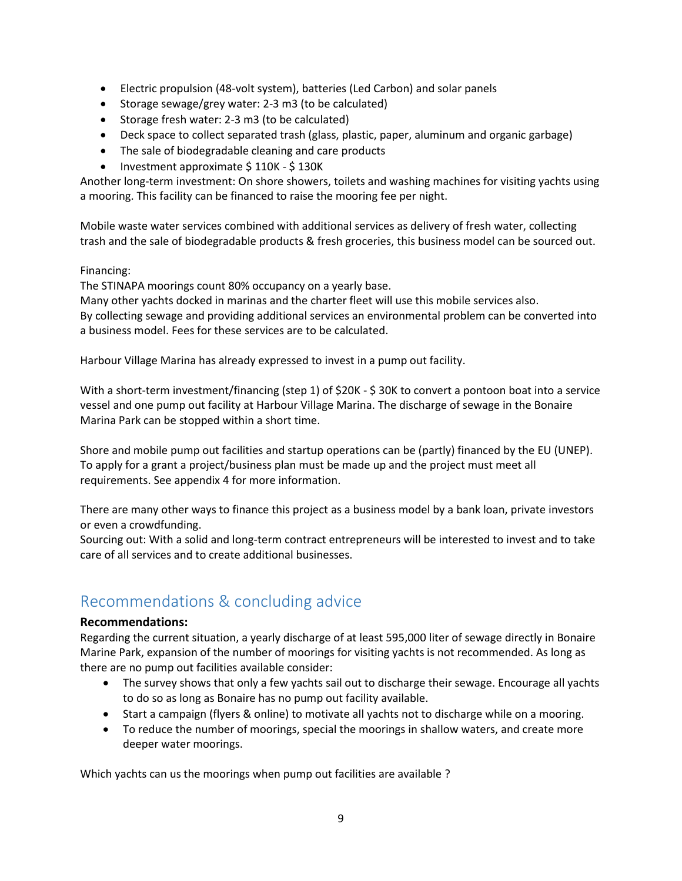- Electric propulsion (48-volt system), batteries (Led Carbon) and solar panels
- Storage sewage/grey water: 2-3 m3 (to be calculated)
- Storage fresh water: 2-3 m3 (to be calculated)
- Deck space to collect separated trash (glass, plastic, paper, aluminum and organic garbage)
- The sale of biodegradable cleaning and care products
- Investment approximate \$110K \$130K

Another long-term investment: On shore showers, toilets and washing machines for visiting yachts using a mooring. This facility can be financed to raise the mooring fee per night.

Mobile waste water services combined with additional services as delivery of fresh water, collecting trash and the sale of biodegradable products & fresh groceries, this business model can be sourced out.

### Financing:

The STINAPA moorings count 80% occupancy on a yearly base.

Many other yachts docked in marinas and the charter fleet will use this mobile services also. By collecting sewage and providing additional services an environmental problem can be converted into a business model. Fees for these services are to be calculated.

Harbour Village Marina has already expressed to invest in a pump out facility.

With a short-term investment/financing (step 1) of \$20K - \$ 30K to convert a pontoon boat into a service vessel and one pump out facility at Harbour Village Marina. The discharge of sewage in the Bonaire Marina Park can be stopped within a short time.

Shore and mobile pump out facilities and startup operations can be (partly) financed by the EU (UNEP). To apply for a grant a project/business plan must be made up and the project must meet all requirements. See appendix 4 for more information.

There are many other ways to finance this project as a business model by a bank loan, private investors or even a crowdfunding.

Sourcing out: With a solid and long-term contract entrepreneurs will be interested to invest and to take care of all services and to create additional businesses.

# <span id="page-8-0"></span>Recommendations & concluding advice

### **Recommendations:**

Regarding the current situation, a yearly discharge of at least 595,000 liter of sewage directly in Bonaire Marine Park, expansion of the number of moorings for visiting yachts is not recommended. As long as there are no pump out facilities available consider:

- The survey shows that only a few yachts sail out to discharge their sewage. Encourage all yachts to do so as long as Bonaire has no pump out facility available.
- Start a campaign (flyers & online) to motivate all yachts not to discharge while on a mooring.
- To reduce the number of moorings, special the moorings in shallow waters, and create more deeper water moorings.

Which yachts can us the moorings when pump out facilities are available ?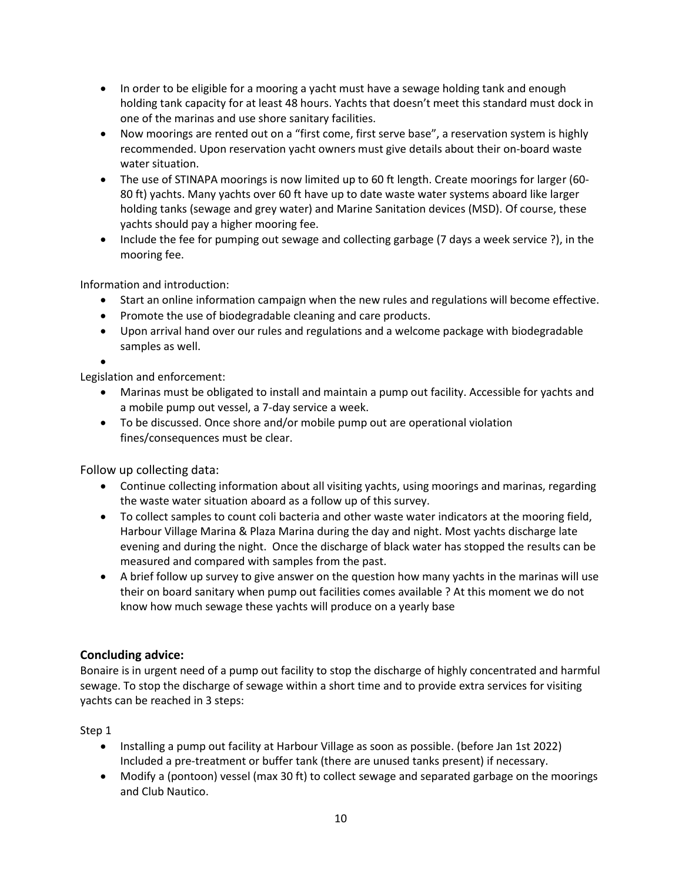- In order to be eligible for a mooring a yacht must have a sewage holding tank and enough holding tank capacity for at least 48 hours. Yachts that doesn't meet this standard must dock in one of the marinas and use shore sanitary facilities.
- Now moorings are rented out on a "first come, first serve base", a reservation system is highly recommended. Upon reservation yacht owners must give details about their on-board waste water situation.
- The use of STINAPA moorings is now limited up to 60 ft length. Create moorings for larger (60-80 ft) yachts. Many yachts over 60 ft have up to date waste water systems aboard like larger holding tanks (sewage and grey water) and Marine Sanitation devices (MSD). Of course, these yachts should pay a higher mooring fee.
- Include the fee for pumping out sewage and collecting garbage (7 days a week service ?), in the mooring fee.

Information and introduction:

- Start an online information campaign when the new rules and regulations will become effective.
- Promote the use of biodegradable cleaning and care products.
- Upon arrival hand over our rules and regulations and a welcome package with biodegradable samples as well.
- •

Legislation and enforcement:

- Marinas must be obligated to install and maintain a pump out facility. Accessible for yachts and a mobile pump out vessel, a 7-day service a week.
- To be discussed. Once shore and/or mobile pump out are operational violation fines/consequences must be clear.

Follow up collecting data:

- Continue collecting information about all visiting yachts, using moorings and marinas, regarding the waste water situation aboard as a follow up of this survey.
- To collect samples to count coli bacteria and other waste water indicators at the mooring field, Harbour Village Marina & Plaza Marina during the day and night. Most yachts discharge late evening and during the night. Once the discharge of black water has stopped the results can be measured and compared with samples from the past.
- A brief follow up survey to give answer on the question how many yachts in the marinas will use their on board sanitary when pump out facilities comes available ? At this moment we do not know how much sewage these yachts will produce on a yearly base

### **Concluding advice:**

Bonaire is in urgent need of a pump out facility to stop the discharge of highly concentrated and harmful sewage. To stop the discharge of sewage within a short time and to provide extra services for visiting yachts can be reached in 3 steps:

Step 1

- Installing a pump out facility at Harbour Village as soon as possible. (before Jan 1st 2022) Included a pre-treatment or buffer tank (there are unused tanks present) if necessary.
- Modify a (pontoon) vessel (max 30 ft) to collect sewage and separated garbage on the moorings and Club Nautico.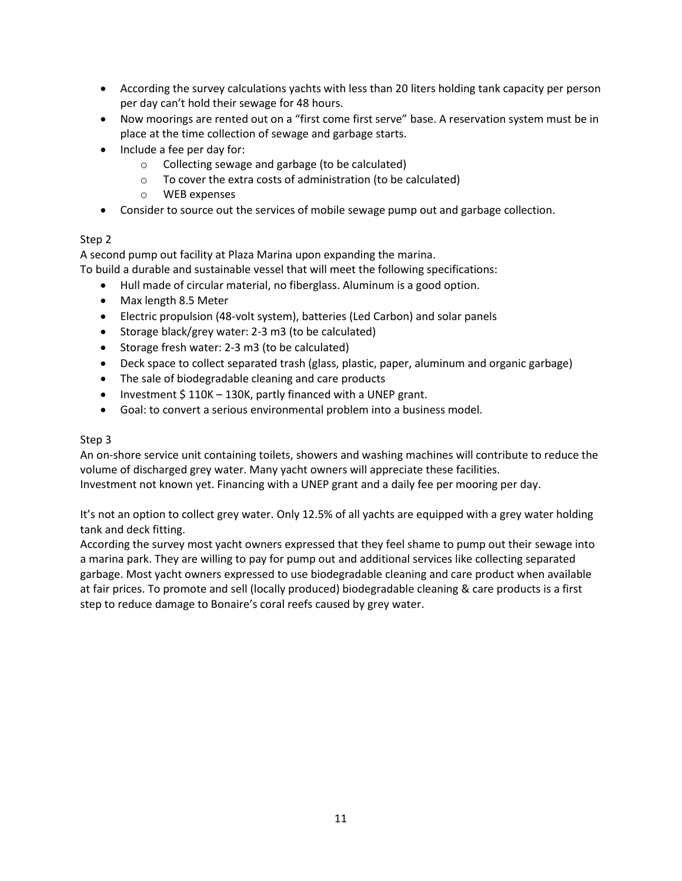- According the survey calculations yachts with less than 20 liters holding tank capacity per person per day can't hold their sewage for 48 hours.
- Now moorings are rented out on a "first come first serve" base. A reservation system must be in place at the time collection of sewage and garbage starts.
- Include a fee per day for:
	- o Collecting sewage and garbage (to be calculated)
	- o To cover the extra costs of administration (to be calculated)
	- o WEB expenses
- Consider to source out the services of mobile sewage pump out and garbage collection.

### Step 2

A second pump out facility at Plaza Marina upon expanding the marina.

To build a durable and sustainable vessel that will meet the following specifications:

- Hull made of circular material, no fiberglass. Aluminum is a good option.
- Max length 8.5 Meter
- Electric propulsion (48-volt system), batteries (Led Carbon) and solar panels
- Storage black/grey water: 2-3 m3 (to be calculated)
- Storage fresh water: 2-3 m3 (to be calculated)
- Deck space to collect separated trash (glass, plastic, paper, aluminum and organic garbage)
- The sale of biodegradable cleaning and care products
- Investment \$110K 130K, partly financed with a UNEP grant.
- Goal: to convert a serious environmental problem into a business model.

### Step 3

An on-shore service unit containing toilets, showers and washing machines will contribute to reduce the volume of discharged grey water. Many yacht owners will appreciate these facilities. Investment not known yet. Financing with a UNEP grant and a daily fee per mooring per day.

It's not an option to collect grey water. Only 12.5% of all yachts are equipped with a grey water holding tank and deck fitting.

According the survey most yacht owners expressed that they feel shame to pump out their sewage into a marina park. They are willing to pay for pump out and additional services like collecting separated garbage. Most yacht owners expressed to use biodegradable cleaning and care product when available at fair prices. To promote and sell (locally produced) biodegradable cleaning & care products is a first step to reduce damage to Bonaire's coral reefs caused by grey water.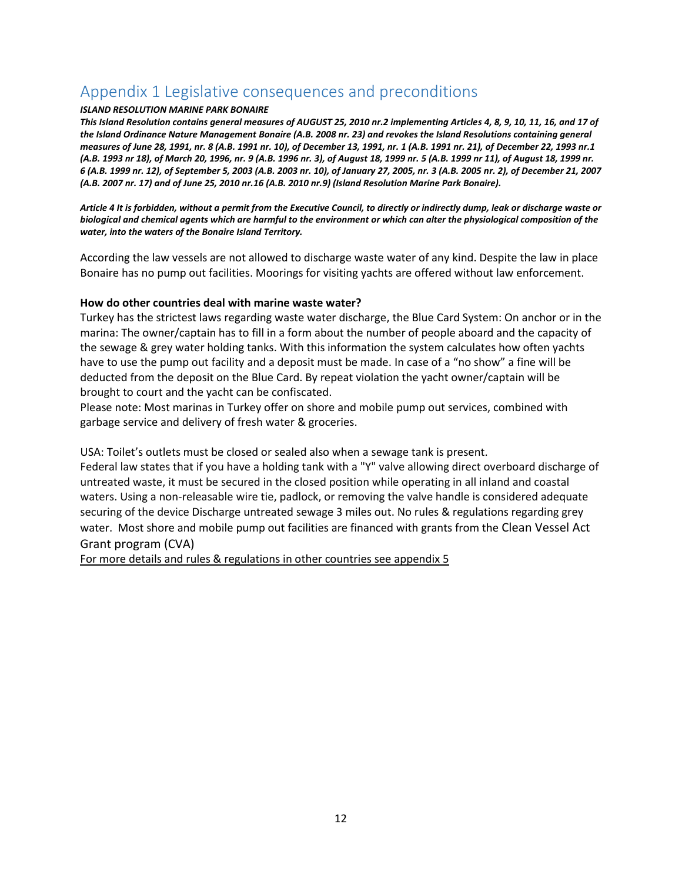# <span id="page-11-0"></span>Appendix 1 Legislative consequences and preconditions

#### *ISLAND RESOLUTION MARINE PARK BONAIRE*

*This Island Resolution contains general measures of AUGUST 25, 2010 nr.2 implementing Articles 4, 8, 9, 10, 11, 16, and 17 of the Island Ordinance Nature Management Bonaire (A.B. 2008 nr. 23) and revokes the Island Resolutions containing general measures of June 28, 1991, nr. 8 (A.B. 1991 nr. 10), of December 13, 1991, nr. 1 (A.B. 1991 nr. 21), of December 22, 1993 nr.1 (A.B. 1993 nr 18), of March 20, 1996, nr. 9 (A.B. 1996 nr. 3), of August 18, 1999 nr. 5 (A.B. 1999 nr 11), of August 18, 1999 nr. 6 (A.B. 1999 nr. 12), of September 5, 2003 (A.B. 2003 nr. 10), of January 27, 2005, nr. 3 (A.B. 2005 nr. 2), of December 21, 2007 (A.B. 2007 nr. 17) and of June 25, 2010 nr.16 (A.B. 2010 nr.9) (Island Resolution Marine Park Bonaire).*

*Article 4 It is forbidden, without a permit from the Executive Council, to directly or indirectly dump, leak or discharge waste or biological and chemical agents which are harmful to the environment or which can alter the physiological composition of the water, into the waters of the Bonaire Island Territory.*

According the law vessels are not allowed to discharge waste water of any kind. Despite the law in place Bonaire has no pump out facilities. Moorings for visiting yachts are offered without law enforcement.

#### **How do other countries deal with marine waste water?**

Turkey has the strictest laws regarding waste water discharge, the Blue Card System: On anchor or in the marina: The owner/captain has to fill in a form about the number of people aboard and the capacity of the sewage & grey water holding tanks. With this information the system calculates how often yachts have to use the pump out facility and a deposit must be made. In case of a "no show" a fine will be deducted from the deposit on the Blue Card. By repeat violation the yacht owner/captain will be brought to court and the yacht can be confiscated.

Please note: Most marinas in Turkey offer on shore and mobile pump out services, combined with garbage service and delivery of fresh water & groceries.

USA: Toilet's outlets must be closed or sealed also when a sewage tank is present.

Federal law states that if you have a holding tank with a "Y" valve allowing direct overboard discharge of untreated waste, it must be secured in the closed position while operating in all inland and coastal waters. Using a non-releasable wire tie, padlock, or removing the valve handle is considered adequate securing of the device Discharge untreated sewage 3 miles out. No rules & regulations regarding grey water. Most shore and mobile pump out facilities are financed with grants from the Clean Vessel Act Grant program (CVA)

For more details and rules & regulations in other countries see appendix 5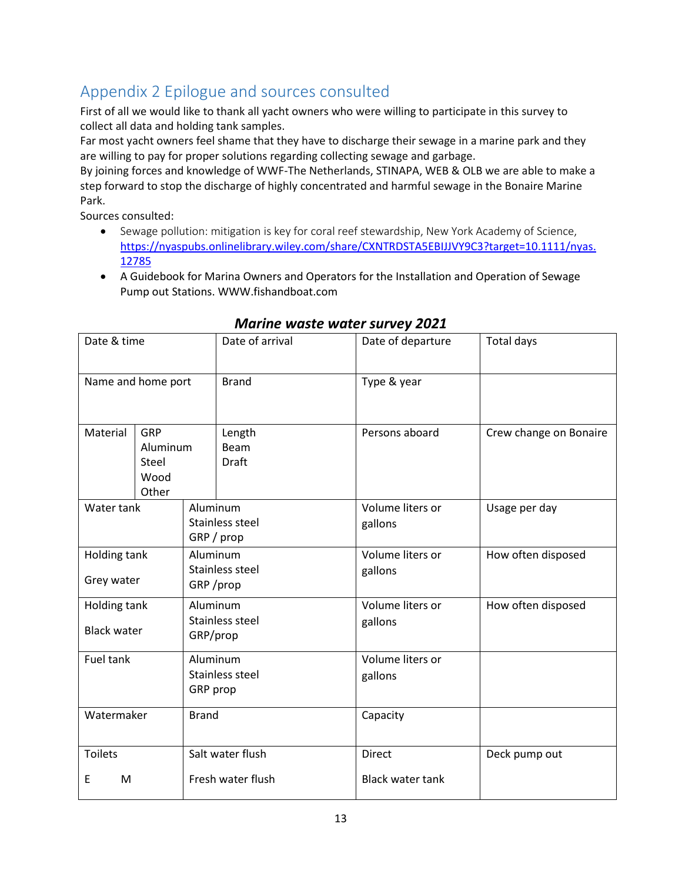# <span id="page-12-0"></span>Appendix 2 Epilogue and sources consulted

First of all we would like to thank all yacht owners who were willing to participate in this survey to collect all data and holding tank samples.

Far most yacht owners feel shame that they have to discharge their sewage in a marine park and they are willing to pay for proper solutions regarding collecting sewage and garbage.

By joining forces and knowledge of WWF-The Netherlands, STINAPA, WEB & OLB we are able to make a step forward to stop the discharge of highly concentrated and harmful sewage in the Bonaire Marine Park.

Sources consulted:

- Sewage pollution: mitigation is key for coral reef stewardship, New York Academy of Science, [https://nyaspubs.onlinelibrary.wiley.com/share/CXNTRDSTA5EBIJJVY9C3?target=10.1111/nyas.](https://nyaspubs.onlinelibrary.wiley.com/share/CXNTRDSTA5EBIJJVY9C3?target=10.1111/nyas.12785) [12785](https://nyaspubs.onlinelibrary.wiley.com/share/CXNTRDSTA5EBIJJVY9C3?target=10.1111/nyas.12785)
- A Guidebook for Marina Owners and Operators for the Installation and Operation of Sewage Pump out Stations. WWW.fishandboat.com

| Date & time                        |                                           |                                         | Date of arrival                           | Date of departure                 | <b>Total days</b>      |  |
|------------------------------------|-------------------------------------------|-----------------------------------------|-------------------------------------------|-----------------------------------|------------------------|--|
| Name and home port                 |                                           |                                         | <b>Brand</b>                              | Type & year                       |                        |  |
| Material                           | GRP<br>Aluminum<br>Steel<br>Wood<br>Other |                                         | Length<br>Beam<br><b>Draft</b>            | Persons aboard                    | Crew change on Bonaire |  |
| Water tank                         |                                           |                                         | Aluminum<br>Stainless steel<br>GRP / prop | Volume liters or<br>gallons       | Usage per day          |  |
| Holding tank<br>Grey water         |                                           | Aluminum<br>Stainless steel<br>GRP/prop |                                           | Volume liters or<br>gallons       | How often disposed     |  |
| Holding tank<br><b>Black water</b> |                                           | Aluminum<br>Stainless steel<br>GRP/prop |                                           | Volume liters or<br>gallons       | How often disposed     |  |
| Fuel tank                          |                                           | Aluminum<br>Stainless steel<br>GRP prop |                                           | Volume liters or<br>gallons       |                        |  |
| Watermaker                         |                                           | <b>Brand</b>                            |                                           | Capacity                          |                        |  |
| <b>Toilets</b><br>Ε<br>М           |                                           | Salt water flush<br>Fresh water flush   |                                           | Direct<br><b>Black water tank</b> | Deck pump out          |  |

### *Marine waste water survey 2021*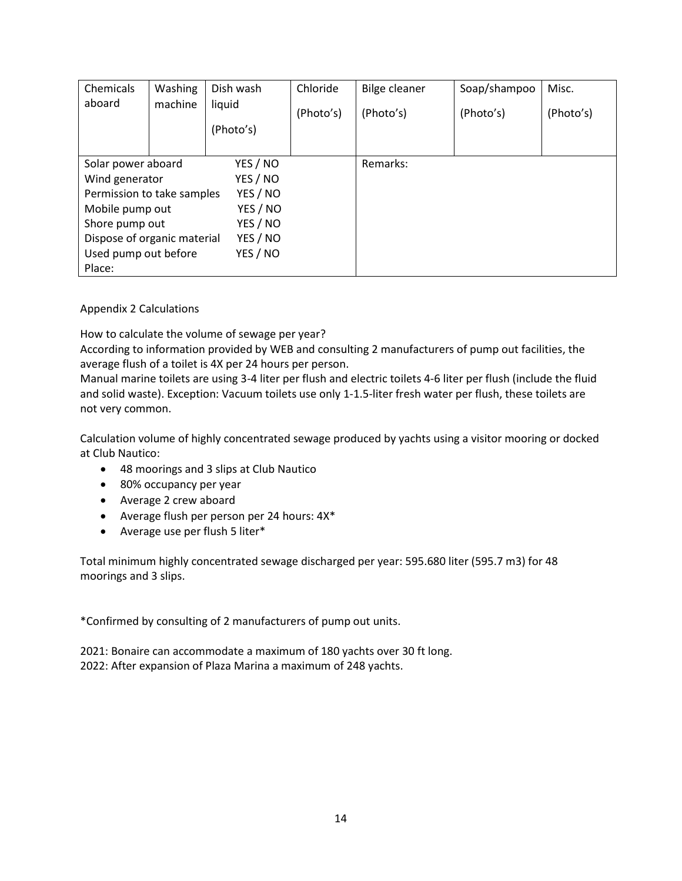| Chemicals                               | Washing | Dish wash | Chloride  | <b>Bilge cleaner</b> | Soap/shampoo | Misc.     |
|-----------------------------------------|---------|-----------|-----------|----------------------|--------------|-----------|
| aboard                                  | machine | liquid    | (Photo's) | (Photo's)            | (Photo's)    | (Photo's) |
|                                         |         | (Photo's) |           |                      |              |           |
|                                         |         |           |           |                      |              |           |
| Solar power aboard                      |         | YES / NO  |           | Remarks:             |              |           |
| Wind generator                          |         | YES / NO  |           |                      |              |           |
| Permission to take samples              |         | YES / NO  |           |                      |              |           |
| Mobile pump out                         |         | YES / NO  |           |                      |              |           |
| YES / NO<br>Shore pump out              |         |           |           |                      |              |           |
| YES / NO<br>Dispose of organic material |         |           |           |                      |              |           |
| Used pump out before<br>YES / NO        |         |           |           |                      |              |           |
| Place:                                  |         |           |           |                      |              |           |

### Appendix 2 Calculations

How to calculate the volume of sewage per year?

According to information provided by WEB and consulting 2 manufacturers of pump out facilities, the average flush of a toilet is 4X per 24 hours per person.

Manual marine toilets are using 3-4 liter per flush and electric toilets 4-6 liter per flush (include the fluid and solid waste). Exception: Vacuum toilets use only 1-1.5-liter fresh water per flush, these toilets are not very common.

Calculation volume of highly concentrated sewage produced by yachts using a visitor mooring or docked at Club Nautico:

- 48 moorings and 3 slips at Club Nautico
- 80% occupancy per year
- Average 2 crew aboard
- Average flush per person per 24 hours: 4X\*
- Average use per flush 5 liter\*

Total minimum highly concentrated sewage discharged per year: 595.680 liter (595.7 m3) for 48 moorings and 3 slips.

\*Confirmed by consulting of 2 manufacturers of pump out units.

2021: Bonaire can accommodate a maximum of 180 yachts over 30 ft long. 2022: After expansion of Plaza Marina a maximum of 248 yachts.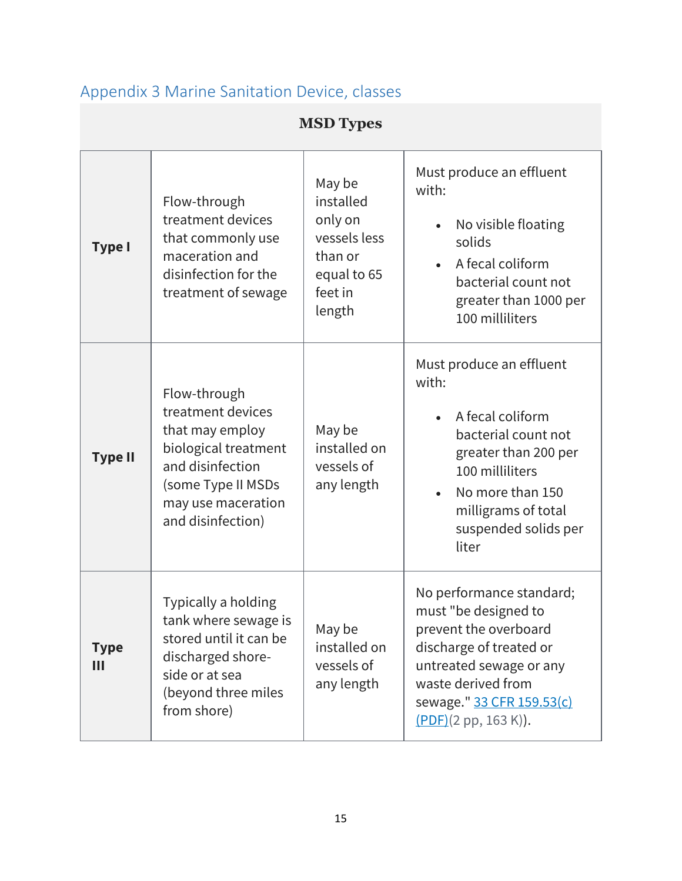# <span id="page-14-0"></span>Appendix 3 Marine Sanitation Device, classes

# **MSD Types**

| <b>Type I</b>    | Flow-through<br>treatment devices<br>that commonly use<br>maceration and<br>disinfection for the<br>treatment of sewage                                           | May be<br>installed<br>only on<br>vessels less<br>than or<br>equal to 65<br>feet in<br>length | Must produce an effluent<br>with:<br>No visible floating<br>solids<br>A fecal coliform<br>bacterial count not<br>greater than 1000 per<br>100 milliliters                                                        |
|------------------|-------------------------------------------------------------------------------------------------------------------------------------------------------------------|-----------------------------------------------------------------------------------------------|------------------------------------------------------------------------------------------------------------------------------------------------------------------------------------------------------------------|
| <b>Type II</b>   | Flow-through<br>treatment devices<br>that may employ<br>biological treatment<br>and disinfection<br>(some Type II MSDs<br>may use maceration<br>and disinfection) | May be<br>installed on<br>vessels of<br>any length                                            | Must produce an effluent<br>with:<br>A fecal coliform<br>$\bullet$<br>bacterial count not<br>greater than 200 per<br>100 milliliters<br>No more than 150<br>milligrams of total<br>suspended solids per<br>liter |
| <b>Type</b><br>Ш | Typically a holding<br>tank where sewage is<br>stored until it can be<br>discharged shore-<br>side or at sea<br>(beyond three miles<br>from shore)                | May be<br>installed on<br>vessels of<br>any length                                            | No performance standard;<br>must "be designed to<br>prevent the overboard<br>discharge of treated or<br>untreated sewage or any<br>waste derived from<br>sewage." 33 CFR 159.53(c)<br>(PDF)(2 pp, 163 K)).       |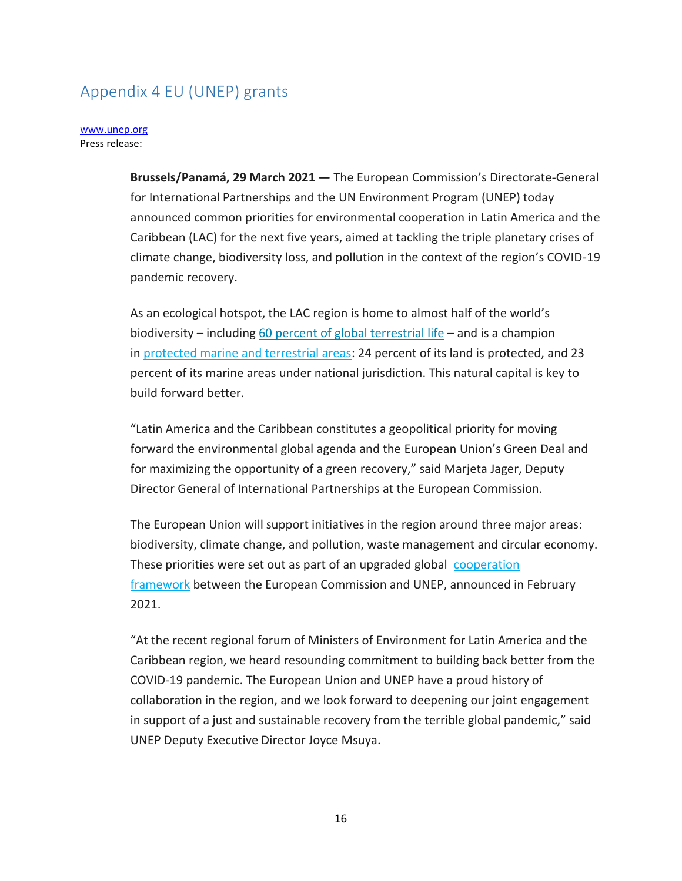## <span id="page-15-0"></span>Appendix 4 EU (UNEP) grants

#### [www.unep.org](http://www.unep.org/) Press release:

**Brussels/Panamá, 29 March 2021 —** The European Commission's Directorate-General for International Partnerships and the UN Environment Program (UNEP) today announced common priorities for environmental cooperation in Latin America and the Caribbean (LAC) for the next five years, aimed at tackling the triple planetary crises of climate change, biodiversity loss, and pollution in the context of the region's COVID-19 pandemic recovery.

As an ecological hotspot, the LAC region is home to almost half of the world's biodiversity – including [60 percent of global terrestrial life](https://www.cbd.int/gbo/gbo4/outlook-grulac-en.pdf) – and is a champion in [protected marine and terrestrial areas:](https://www.protectedplanet.net/region/SA) 24 percent of its land is protected, and 23 percent of its marine areas under national jurisdiction. This natural capital is key to build forward better.

"Latin America and the Caribbean constitutes a geopolitical priority for moving forward the environmental global agenda and the European Union's Green Deal and for maximizing the opportunity of a green recovery," said Marjeta Jager, Deputy Director General of International Partnerships at the European Commission.

The European Union will support initiatives in the region around three major areas: biodiversity, climate change, and pollution, waste management and circular economy. These priorities were set out as part of an upgraded global [cooperation](https://www.unep.org/news-and-stories/blogpost/european-commission-and-un-environment-programme-agree-reinforce)  [framework](https://www.unep.org/news-and-stories/blogpost/european-commission-and-un-environment-programme-agree-reinforce) between the European Commission and UNEP, announced in February 2021.

"At the recent regional forum of Ministers of Environment for Latin America and the Caribbean region, we heard resounding commitment to building back better from the COVID-19 pandemic. The European Union and UNEP have a proud history of collaboration in the region, and we look forward to deepening our joint engagement in support of a just and sustainable recovery from the terrible global pandemic," said UNEP Deputy Executive Director Joyce Msuya.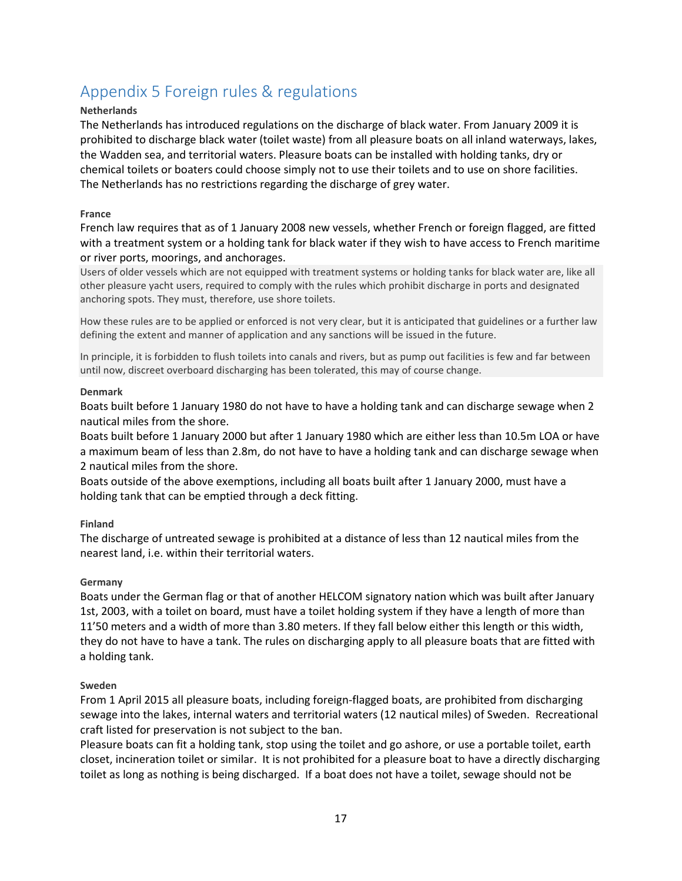# <span id="page-16-0"></span>Appendix 5 Foreign rules & regulations

### **Netherlands**

The Netherlands has introduced regulations on the discharge of black water. From January 2009 it is prohibited to discharge black water (toilet waste) from all pleasure boats on all inland waterways, lakes, the Wadden sea, and territorial waters. Pleasure boats can be installed with holding tanks, dry or chemical toilets or boaters could choose simply not to use their toilets and to use on shore facilities. The Netherlands has no restrictions regarding the discharge of grey water.

### **France**

French law requires that as of 1 January 2008 new vessels, whether French or foreign flagged, are fitted with a treatment system or a holding tank for black water if they wish to have access to French maritime or river ports, moorings, and anchorages.

Users of older vessels which are not equipped with treatment systems or holding tanks for black water are, like all other pleasure yacht users, required to comply with the rules which prohibit discharge in ports and designated anchoring spots. They must, therefore, use shore toilets.

How these rules are to be applied or enforced is not very clear, but it is anticipated that guidelines or a further law defining the extent and manner of application and any sanctions will be issued in the future.

In principle, it is forbidden to flush toilets into canals and rivers, but as pump out facilities is few and far between until now, discreet overboard discharging has been tolerated, this may of course change.

#### **Denmark**

Boats built before 1 January 1980 do not have to have a holding tank and can discharge sewage when 2 nautical miles from the shore.

Boats built before 1 January 2000 but after 1 January 1980 which are either less than 10.5m LOA or have a maximum beam of less than 2.8m, do not have to have a holding tank and can discharge sewage when 2 nautical miles from the shore.

Boats outside of the above exemptions, including all boats built after 1 January 2000, must have a holding tank that can be emptied through a deck fitting.

### **Finland**

The discharge of untreated sewage is prohibited at a distance of less than 12 nautical miles from the nearest land, i.e. within their territorial waters.

### **Germany**

Boats under the German flag or that of another HELCOM signatory nation which was built after January 1st, 2003, with a toilet on board, must have a toilet holding system if they have a length of more than 11'50 meters and a width of more than 3.80 meters. If they fall below either this length or this width, they do not have to have a tank. The rules on discharging apply to all pleasure boats that are fitted with a holding tank.

### **Sweden**

From 1 April 2015 all pleasure boats, including foreign-flagged boats, are prohibited from discharging sewage into the lakes, internal waters and territorial waters (12 nautical miles) of Sweden. Recreational craft listed for preservation is not subject to the ban.

Pleasure boats can fit a holding tank, stop using the toilet and go ashore, or use a portable toilet, earth closet, incineration toilet or similar. It is not prohibited for a pleasure boat to have a directly discharging toilet as long as nothing is being discharged. If a boat does not have a toilet, sewage should not be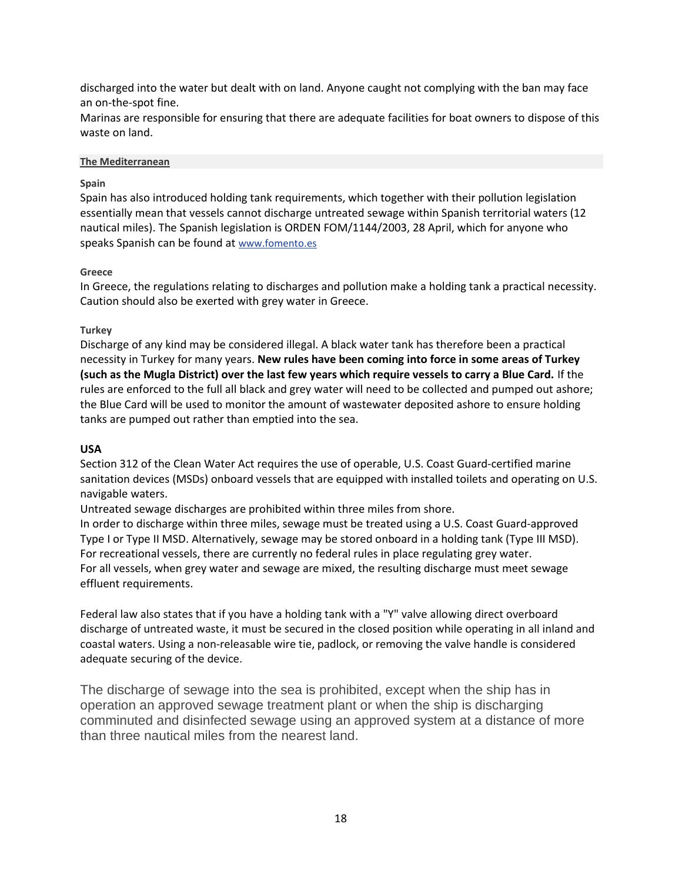discharged into the water but dealt with on land. Anyone caught not complying with the ban may face an on-the-spot fine.

Marinas are responsible for ensuring that there are adequate facilities for boat owners to dispose of this waste on land.

#### **The Mediterranean**

### **Spain**

Spain has also introduced holding tank requirements, which together with their pollution legislation essentially mean that vessels cannot discharge untreated sewage within Spanish territorial waters (12 nautical miles). The Spanish legislation is ORDEN FOM/1144/2003, 28 April, which for anyone who speaks Spanish can be found at [www.fomento.es](https://www.fomento.es/)

### **Greece**

In Greece, the regulations relating to discharges and pollution make a holding tank a practical necessity. Caution should also be exerted with grey water in Greece.

### **Turkey**

Discharge of any kind may be considered illegal. A black water tank has therefore been a practical necessity in Turkey for many years. **New rules have been coming into force in some areas of Turkey (such as the Mugla District) over the last few years which require vessels to carry a Blue Card.** If the rules are enforced to the full all black and grey water will need to be collected and pumped out ashore; the Blue Card will be used to monitor the amount of wastewater deposited ashore to ensure holding tanks are pumped out rather than emptied into the sea.

### **USA**

Section 312 of the Clean Water Act requires the use of operable, U.S. Coast Guard-certified marine sanitation devices (MSDs) onboard vessels that are equipped with installed toilets and operating on U.S. navigable waters.

Untreated sewage discharges are prohibited within three miles from shore.

In order to discharge within three miles, sewage must be treated using a U.S. Coast Guard-approved Type I or Type II MSD. Alternatively, sewage may be stored onboard in a holding tank (Type III MSD). For recreational vessels, there are currently no federal rules in place regulating grey water. For all vessels, when grey water and sewage are mixed, the resulting discharge must meet sewage effluent requirements.

Federal law also states that if you have a holding tank with a "Y" valve allowing direct overboard discharge of untreated waste, it must be secured in the closed position while operating in all inland and coastal waters. Using a non-releasable wire tie, padlock, or removing the valve handle is considered adequate securing of the device.

The discharge of sewage into the sea is prohibited, except when the ship has in operation an approved sewage treatment plant or when the ship is discharging comminuted and disinfected sewage using an approved system at a distance of more than three nautical miles from the nearest land.